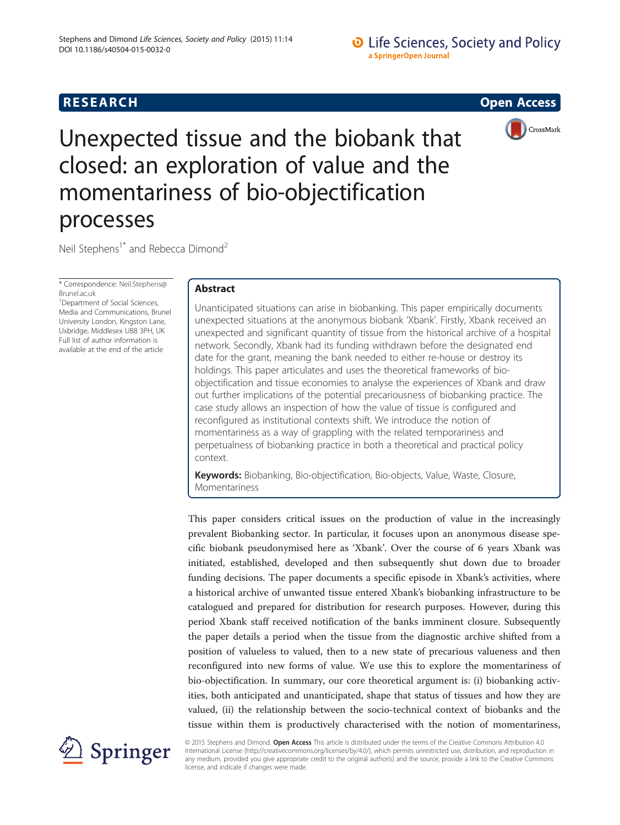# **D** Life Sciences, Society and Policy a SpringerOpen Journal

# **RESEARCH RESEARCH CONSUMING ACCESS**



Unexpected tissue and the biobank that closed: an exploration of value and the momentariness of bio-objectification processes

Neil Stephens<sup>1\*</sup> and Rebecca Dimond<sup>2</sup>

\* Correspondence: [Neil.Stephens@](mailto:Neil.Stephens@Brunel.ac.uk) [Brunel.ac.uk](mailto:Neil.Stephens@Brunel.ac.uk)

<sup>1</sup> Department of Social Sciences, Media and Communications, Brunel University London, Kingston Lane, Uxbridge, Middlesex UB8 3PH, UK Full list of author information is available at the end of the article

# Abstract

Unanticipated situations can arise in biobanking. This paper empirically documents unexpected situations at the anonymous biobank 'Xbank'. Firstly, Xbank received an unexpected and significant quantity of tissue from the historical archive of a hospital network. Secondly, Xbank had its funding withdrawn before the designated end date for the grant, meaning the bank needed to either re-house or destroy its holdings. This paper articulates and uses the theoretical frameworks of bioobjectification and tissue economies to analyse the experiences of Xbank and draw out further implications of the potential precariousness of biobanking practice. The case study allows an inspection of how the value of tissue is configured and reconfigured as institutional contexts shift. We introduce the notion of momentariness as a way of grappling with the related temporariness and perpetualness of biobanking practice in both a theoretical and practical policy context.

Keywords: Biobanking, Bio-objectification, Bio-objects, Value, Waste, Closure, Momentariness

This paper considers critical issues on the production of value in the increasingly prevalent Biobanking sector. In particular, it focuses upon an anonymous disease specific biobank pseudonymised here as 'Xbank'. Over the course of 6 years Xbank was initiated, established, developed and then subsequently shut down due to broader funding decisions. The paper documents a specific episode in Xbank's activities, where a historical archive of unwanted tissue entered Xbank's biobanking infrastructure to be catalogued and prepared for distribution for research purposes. However, during this period Xbank staff received notification of the banks imminent closure. Subsequently the paper details a period when the tissue from the diagnostic archive shifted from a position of valueless to valued, then to a new state of precarious valueness and then reconfigured into new forms of value. We use this to explore the momentariness of bio-objectification. In summary, our core theoretical argument is: (i) biobanking activities, both anticipated and unanticipated, shape that status of tissues and how they are valued, (ii) the relationship between the socio-technical context of biobanks and the tissue within them is productively characterised with the notion of momentariness,



© 2015 Stephens and Dimond. Open Access This article is distributed under the terms of the Creative Commons Attribution 4.0 International License ([http://creativecommons.org/licenses/by/4.0/\)](http://creativecommons.org/licenses/by/4.0/), which permits unrestricted use, distribution, and reproduction in any medium, provided you give appropriate credit to the original author(s) and the source, provide a link to the Creative Commons license, and indicate if changes were made.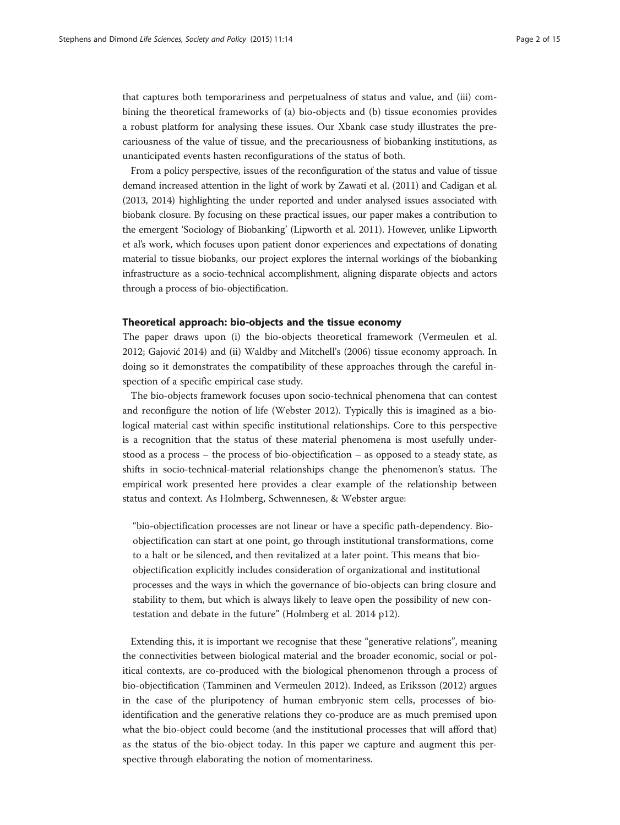that captures both temporariness and perpetualness of status and value, and (iii) combining the theoretical frameworks of (a) bio-objects and (b) tissue economies provides a robust platform for analysing these issues. Our Xbank case study illustrates the precariousness of the value of tissue, and the precariousness of biobanking institutions, as unanticipated events hasten reconfigurations of the status of both.

From a policy perspective, issues of the reconfiguration of the status and value of tissue demand increased attention in the light of work by Zawati et al. [\(2011](#page-14-0)) and Cadigan et al. ([2013, 2014](#page-14-0)) highlighting the under reported and under analysed issues associated with biobank closure. By focusing on these practical issues, our paper makes a contribution to the emergent 'Sociology of Biobanking' (Lipworth et al. [2011](#page-14-0)). However, unlike Lipworth et al's work, which focuses upon patient donor experiences and expectations of donating material to tissue biobanks, our project explores the internal workings of the biobanking infrastructure as a socio-technical accomplishment, aligning disparate objects and actors through a process of bio-objectification.

#### Theoretical approach: bio-objects and the tissue economy

The paper draws upon (i) the bio-objects theoretical framework (Vermeulen et al. [2012](#page-14-0); Gajović [2014\)](#page-14-0) and (ii) Waldby and Mitchell's ([2006](#page-14-0)) tissue economy approach. In doing so it demonstrates the compatibility of these approaches through the careful inspection of a specific empirical case study.

The bio-objects framework focuses upon socio-technical phenomena that can contest and reconfigure the notion of life (Webster [2012](#page-14-0)). Typically this is imagined as a biological material cast within specific institutional relationships. Core to this perspective is a recognition that the status of these material phenomena is most usefully understood as a process – the process of bio-objectification – as opposed to a steady state, as shifts in socio-technical-material relationships change the phenomenon's status. The empirical work presented here provides a clear example of the relationship between status and context. As Holmberg, Schwennesen, & Webster argue:

"bio-objectification processes are not linear or have a specific path-dependency. Bioobjectification can start at one point, go through institutional transformations, come to a halt or be silenced, and then revitalized at a later point. This means that bioobjectification explicitly includes consideration of organizational and institutional processes and the ways in which the governance of bio-objects can bring closure and stability to them, but which is always likely to leave open the possibility of new contestation and debate in the future" (Holmberg et al. [2014](#page-14-0) p12).

Extending this, it is important we recognise that these "generative relations", meaning the connectivities between biological material and the broader economic, social or political contexts, are co-produced with the biological phenomenon through a process of bio-objectification (Tamminen and Vermeulen [2012](#page-14-0)). Indeed, as Eriksson [\(2012](#page-14-0)) argues in the case of the pluripotency of human embryonic stem cells, processes of bioidentification and the generative relations they co-produce are as much premised upon what the bio-object could become (and the institutional processes that will afford that) as the status of the bio-object today. In this paper we capture and augment this perspective through elaborating the notion of momentariness.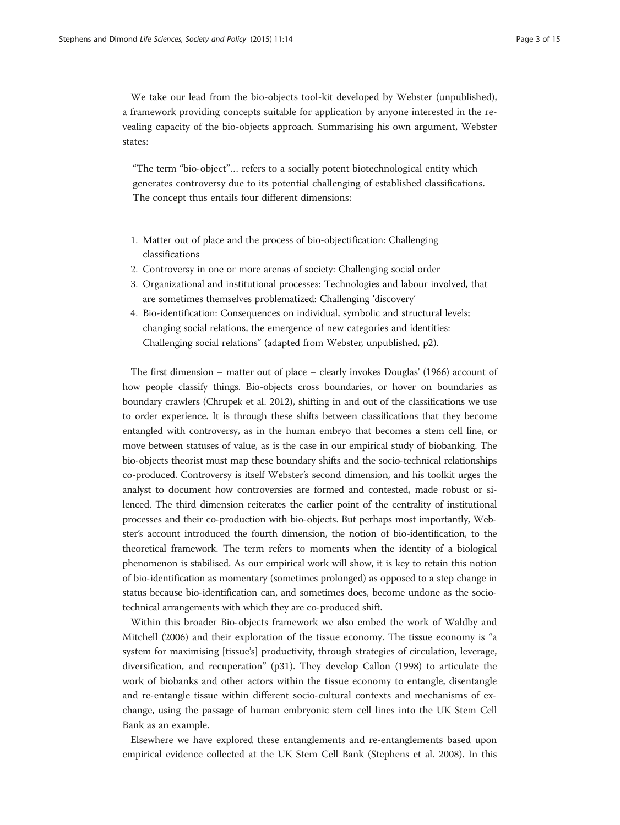We take our lead from the bio-objects tool-kit developed by Webster (unpublished), a framework providing concepts suitable for application by anyone interested in the revealing capacity of the bio-objects approach. Summarising his own argument, Webster states:

"The term "bio-object"… refers to a socially potent biotechnological entity which generates controversy due to its potential challenging of established classifications. The concept thus entails four different dimensions:

- 1. Matter out of place and the process of bio-objectification: Challenging classifications
- 2. Controversy in one or more arenas of society: Challenging social order
- 3. Organizational and institutional processes: Technologies and labour involved, that are sometimes themselves problematized: Challenging 'discovery'
- 4. Bio-identification: Consequences on individual, symbolic and structural levels; changing social relations, the emergence of new categories and identities: Challenging social relations" (adapted from Webster, unpublished, p2).

The first dimension – matter out of place – clearly invokes Douglas' [\(1966\)](#page-14-0) account of how people classify things. Bio-objects cross boundaries, or hover on boundaries as boundary crawlers (Chrupek et al. [2012](#page-14-0)), shifting in and out of the classifications we use to order experience. It is through these shifts between classifications that they become entangled with controversy, as in the human embryo that becomes a stem cell line, or move between statuses of value, as is the case in our empirical study of biobanking. The bio-objects theorist must map these boundary shifts and the socio-technical relationships co-produced. Controversy is itself Webster's second dimension, and his toolkit urges the analyst to document how controversies are formed and contested, made robust or silenced. The third dimension reiterates the earlier point of the centrality of institutional processes and their co-production with bio-objects. But perhaps most importantly, Webster's account introduced the fourth dimension, the notion of bio-identification, to the theoretical framework. The term refers to moments when the identity of a biological phenomenon is stabilised. As our empirical work will show, it is key to retain this notion of bio-identification as momentary (sometimes prolonged) as opposed to a step change in status because bio-identification can, and sometimes does, become undone as the sociotechnical arrangements with which they are co-produced shift.

Within this broader Bio-objects framework we also embed the work of Waldby and Mitchell [\(2006\)](#page-14-0) and their exploration of the tissue economy. The tissue economy is "a system for maximising [tissue's] productivity, through strategies of circulation, leverage, diversification, and recuperation" (p31). They develop Callon ([1998](#page-14-0)) to articulate the work of biobanks and other actors within the tissue economy to entangle, disentangle and re-entangle tissue within different socio-cultural contexts and mechanisms of exchange, using the passage of human embryonic stem cell lines into the UK Stem Cell Bank as an example.

Elsewhere we have explored these entanglements and re-entanglements based upon empirical evidence collected at the UK Stem Cell Bank (Stephens et al. [2008](#page-14-0)). In this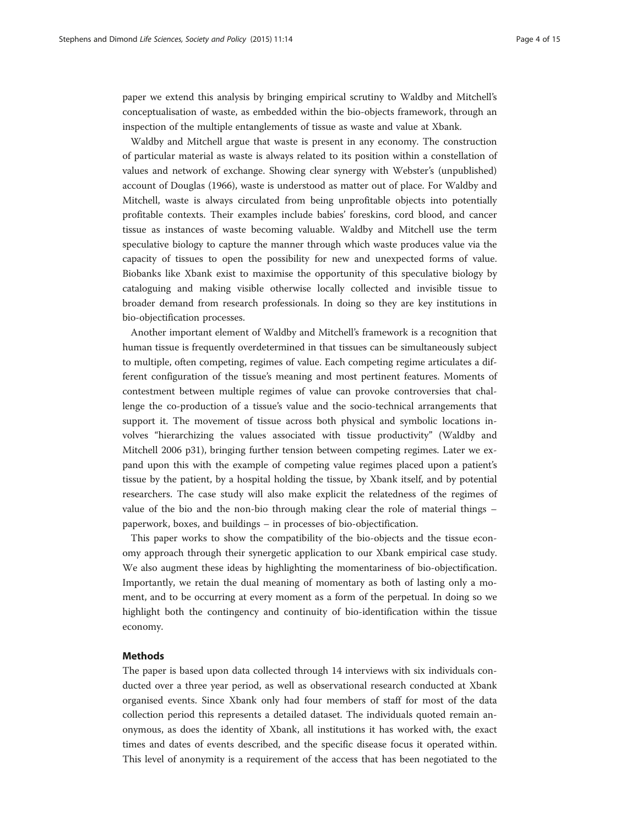paper we extend this analysis by bringing empirical scrutiny to Waldby and Mitchell's conceptualisation of waste, as embedded within the bio-objects framework, through an inspection of the multiple entanglements of tissue as waste and value at Xbank.

Waldby and Mitchell argue that waste is present in any economy. The construction of particular material as waste is always related to its position within a constellation of values and network of exchange. Showing clear synergy with Webster's (unpublished) account of Douglas [\(1966\)](#page-14-0), waste is understood as matter out of place. For Waldby and Mitchell, waste is always circulated from being unprofitable objects into potentially profitable contexts. Their examples include babies' foreskins, cord blood, and cancer tissue as instances of waste becoming valuable. Waldby and Mitchell use the term speculative biology to capture the manner through which waste produces value via the capacity of tissues to open the possibility for new and unexpected forms of value. Biobanks like Xbank exist to maximise the opportunity of this speculative biology by cataloguing and making visible otherwise locally collected and invisible tissue to broader demand from research professionals. In doing so they are key institutions in bio-objectification processes.

Another important element of Waldby and Mitchell's framework is a recognition that human tissue is frequently overdetermined in that tissues can be simultaneously subject to multiple, often competing, regimes of value. Each competing regime articulates a different configuration of the tissue's meaning and most pertinent features. Moments of contestment between multiple regimes of value can provoke controversies that challenge the co-production of a tissue's value and the socio-technical arrangements that support it. The movement of tissue across both physical and symbolic locations involves "hierarchizing the values associated with tissue productivity" (Waldby and Mitchell [2006](#page-14-0) p31), bringing further tension between competing regimes. Later we expand upon this with the example of competing value regimes placed upon a patient's tissue by the patient, by a hospital holding the tissue, by Xbank itself, and by potential researchers. The case study will also make explicit the relatedness of the regimes of value of the bio and the non-bio through making clear the role of material things – paperwork, boxes, and buildings – in processes of bio-objectification.

This paper works to show the compatibility of the bio-objects and the tissue economy approach through their synergetic application to our Xbank empirical case study. We also augment these ideas by highlighting the momentariness of bio-objectification. Importantly, we retain the dual meaning of momentary as both of lasting only a moment, and to be occurring at every moment as a form of the perpetual. In doing so we highlight both the contingency and continuity of bio-identification within the tissue economy.

#### Methods

The paper is based upon data collected through 14 interviews with six individuals conducted over a three year period, as well as observational research conducted at Xbank organised events. Since Xbank only had four members of staff for most of the data collection period this represents a detailed dataset. The individuals quoted remain anonymous, as does the identity of Xbank, all institutions it has worked with, the exact times and dates of events described, and the specific disease focus it operated within. This level of anonymity is a requirement of the access that has been negotiated to the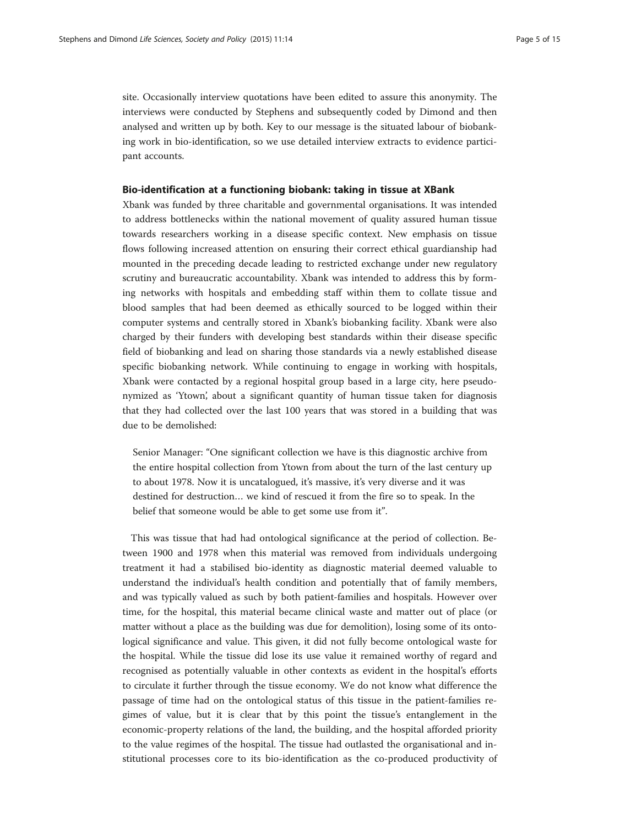site. Occasionally interview quotations have been edited to assure this anonymity. The interviews were conducted by Stephens and subsequently coded by Dimond and then analysed and written up by both. Key to our message is the situated labour of biobanking work in bio-identification, so we use detailed interview extracts to evidence participant accounts.

#### Bio-identification at a functioning biobank: taking in tissue at XBank

Xbank was funded by three charitable and governmental organisations. It was intended to address bottlenecks within the national movement of quality assured human tissue towards researchers working in a disease specific context. New emphasis on tissue flows following increased attention on ensuring their correct ethical guardianship had mounted in the preceding decade leading to restricted exchange under new regulatory scrutiny and bureaucratic accountability. Xbank was intended to address this by forming networks with hospitals and embedding staff within them to collate tissue and blood samples that had been deemed as ethically sourced to be logged within their computer systems and centrally stored in Xbank's biobanking facility. Xbank were also charged by their funders with developing best standards within their disease specific field of biobanking and lead on sharing those standards via a newly established disease specific biobanking network. While continuing to engage in working with hospitals, Xbank were contacted by a regional hospital group based in a large city, here pseudonymized as 'Ytown', about a significant quantity of human tissue taken for diagnosis that they had collected over the last 100 years that was stored in a building that was due to be demolished:

Senior Manager: "One significant collection we have is this diagnostic archive from the entire hospital collection from Ytown from about the turn of the last century up to about 1978. Now it is uncatalogued, it's massive, it's very diverse and it was destined for destruction… we kind of rescued it from the fire so to speak. In the belief that someone would be able to get some use from it".

This was tissue that had had ontological significance at the period of collection. Between 1900 and 1978 when this material was removed from individuals undergoing treatment it had a stabilised bio-identity as diagnostic material deemed valuable to understand the individual's health condition and potentially that of family members, and was typically valued as such by both patient-families and hospitals. However over time, for the hospital, this material became clinical waste and matter out of place (or matter without a place as the building was due for demolition), losing some of its ontological significance and value. This given, it did not fully become ontological waste for the hospital. While the tissue did lose its use value it remained worthy of regard and recognised as potentially valuable in other contexts as evident in the hospital's efforts to circulate it further through the tissue economy. We do not know what difference the passage of time had on the ontological status of this tissue in the patient-families regimes of value, but it is clear that by this point the tissue's entanglement in the economic-property relations of the land, the building, and the hospital afforded priority to the value regimes of the hospital. The tissue had outlasted the organisational and institutional processes core to its bio-identification as the co-produced productivity of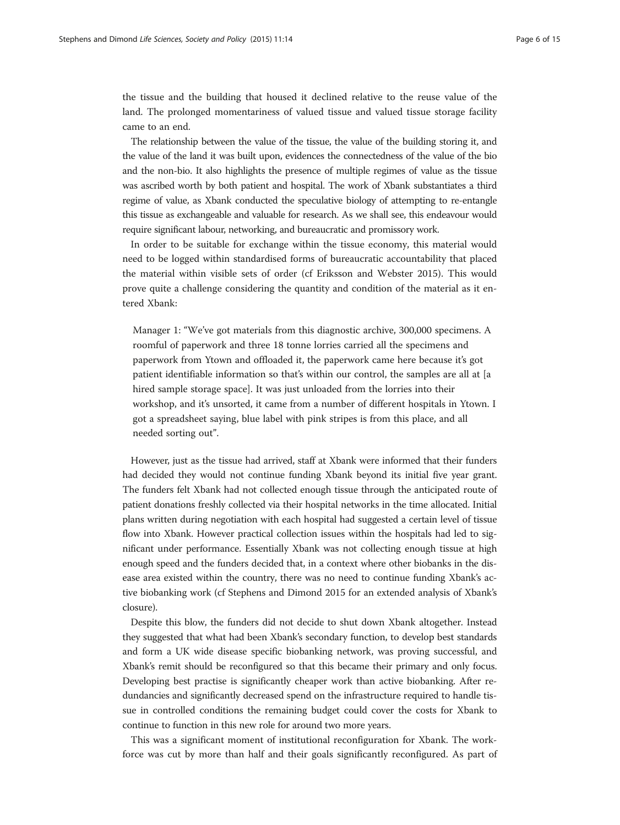the tissue and the building that housed it declined relative to the reuse value of the land. The prolonged momentariness of valued tissue and valued tissue storage facility came to an end.

The relationship between the value of the tissue, the value of the building storing it, and the value of the land it was built upon, evidences the connectedness of the value of the bio and the non-bio. It also highlights the presence of multiple regimes of value as the tissue was ascribed worth by both patient and hospital. The work of Xbank substantiates a third regime of value, as Xbank conducted the speculative biology of attempting to re-entangle this tissue as exchangeable and valuable for research. As we shall see, this endeavour would require significant labour, networking, and bureaucratic and promissory work.

In order to be suitable for exchange within the tissue economy, this material would need to be logged within standardised forms of bureaucratic accountability that placed the material within visible sets of order (cf Eriksson and Webster [2015\)](#page-14-0). This would prove quite a challenge considering the quantity and condition of the material as it entered Xbank:

Manager 1: "We've got materials from this diagnostic archive, 300,000 specimens. A roomful of paperwork and three 18 tonne lorries carried all the specimens and paperwork from Ytown and offloaded it, the paperwork came here because it's got patient identifiable information so that's within our control, the samples are all at [a hired sample storage space]. It was just unloaded from the lorries into their workshop, and it's unsorted, it came from a number of different hospitals in Ytown. I got a spreadsheet saying, blue label with pink stripes is from this place, and all needed sorting out".

However, just as the tissue had arrived, staff at Xbank were informed that their funders had decided they would not continue funding Xbank beyond its initial five year grant. The funders felt Xbank had not collected enough tissue through the anticipated route of patient donations freshly collected via their hospital networks in the time allocated. Initial plans written during negotiation with each hospital had suggested a certain level of tissue flow into Xbank. However practical collection issues within the hospitals had led to significant under performance. Essentially Xbank was not collecting enough tissue at high enough speed and the funders decided that, in a context where other biobanks in the disease area existed within the country, there was no need to continue funding Xbank's active biobanking work (cf Stephens and Dimond [2015](#page-14-0) for an extended analysis of Xbank's closure).

Despite this blow, the funders did not decide to shut down Xbank altogether. Instead they suggested that what had been Xbank's secondary function, to develop best standards and form a UK wide disease specific biobanking network, was proving successful, and Xbank's remit should be reconfigured so that this became their primary and only focus. Developing best practise is significantly cheaper work than active biobanking. After redundancies and significantly decreased spend on the infrastructure required to handle tissue in controlled conditions the remaining budget could cover the costs for Xbank to continue to function in this new role for around two more years.

This was a significant moment of institutional reconfiguration for Xbank. The workforce was cut by more than half and their goals significantly reconfigured. As part of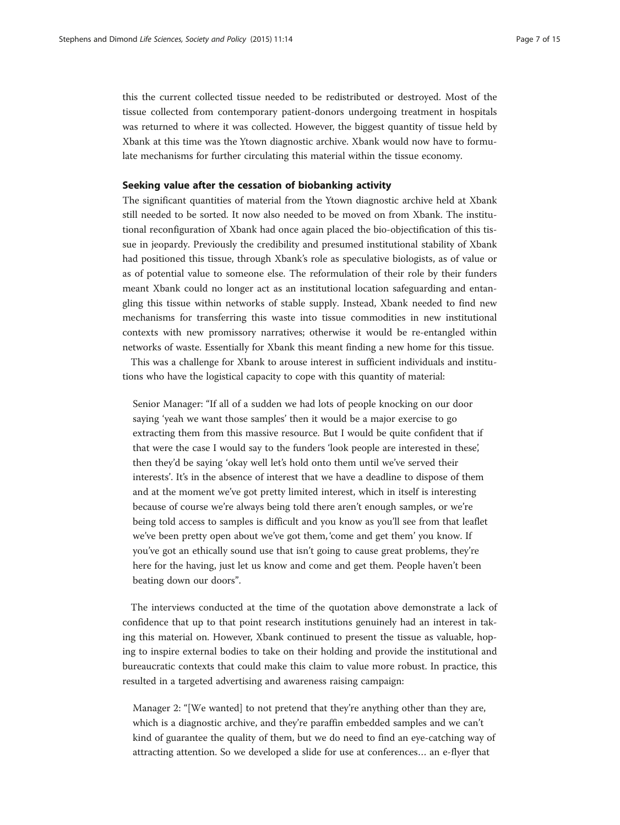this the current collected tissue needed to be redistributed or destroyed. Most of the tissue collected from contemporary patient-donors undergoing treatment in hospitals was returned to where it was collected. However, the biggest quantity of tissue held by Xbank at this time was the Ytown diagnostic archive. Xbank would now have to formulate mechanisms for further circulating this material within the tissue economy.

# Seeking value after the cessation of biobanking activity

The significant quantities of material from the Ytown diagnostic archive held at Xbank still needed to be sorted. It now also needed to be moved on from Xbank. The institutional reconfiguration of Xbank had once again placed the bio-objectification of this tissue in jeopardy. Previously the credibility and presumed institutional stability of Xbank had positioned this tissue, through Xbank's role as speculative biologists, as of value or as of potential value to someone else. The reformulation of their role by their funders meant Xbank could no longer act as an institutional location safeguarding and entangling this tissue within networks of stable supply. Instead, Xbank needed to find new mechanisms for transferring this waste into tissue commodities in new institutional contexts with new promissory narratives; otherwise it would be re-entangled within networks of waste. Essentially for Xbank this meant finding a new home for this tissue.

This was a challenge for Xbank to arouse interest in sufficient individuals and institutions who have the logistical capacity to cope with this quantity of material:

Senior Manager: "If all of a sudden we had lots of people knocking on our door saying 'yeah we want those samples' then it would be a major exercise to go extracting them from this massive resource. But I would be quite confident that if that were the case I would say to the funders 'look people are interested in these', then they'd be saying 'okay well let's hold onto them until we've served their interests'. It's in the absence of interest that we have a deadline to dispose of them and at the moment we've got pretty limited interest, which in itself is interesting because of course we're always being told there aren't enough samples, or we're being told access to samples is difficult and you know as you'll see from that leaflet we've been pretty open about we've got them, 'come and get them' you know. If you've got an ethically sound use that isn't going to cause great problems, they're here for the having, just let us know and come and get them. People haven't been beating down our doors".

The interviews conducted at the time of the quotation above demonstrate a lack of confidence that up to that point research institutions genuinely had an interest in taking this material on. However, Xbank continued to present the tissue as valuable, hoping to inspire external bodies to take on their holding and provide the institutional and bureaucratic contexts that could make this claim to value more robust. In practice, this resulted in a targeted advertising and awareness raising campaign:

Manager 2: "[We wanted] to not pretend that they're anything other than they are, which is a diagnostic archive, and they're paraffin embedded samples and we can't kind of guarantee the quality of them, but we do need to find an eye-catching way of attracting attention. So we developed a slide for use at conferences… an e-flyer that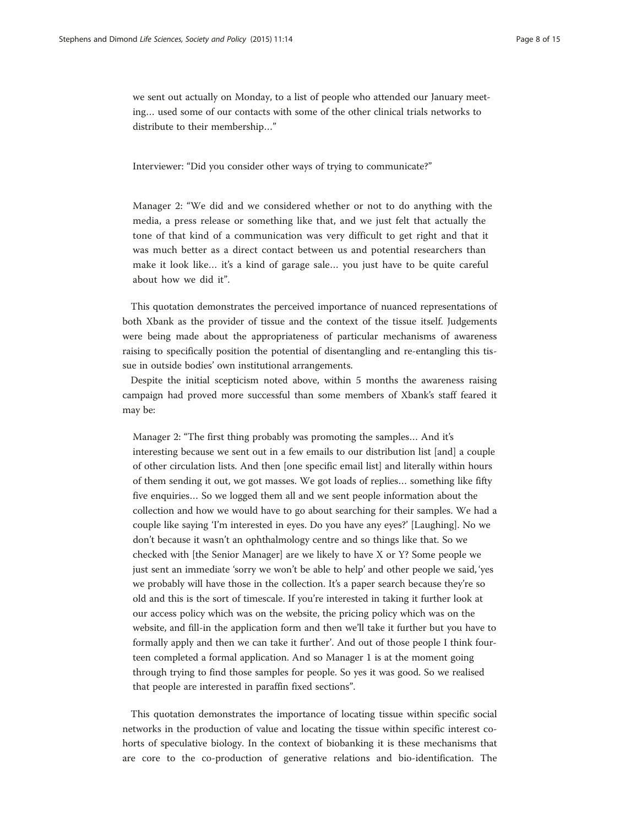we sent out actually on Monday, to a list of people who attended our January meeting… used some of our contacts with some of the other clinical trials networks to distribute to their membership…"

Interviewer: "Did you consider other ways of trying to communicate?"

Manager 2: "We did and we considered whether or not to do anything with the media, a press release or something like that, and we just felt that actually the tone of that kind of a communication was very difficult to get right and that it was much better as a direct contact between us and potential researchers than make it look like… it's a kind of garage sale… you just have to be quite careful about how we did it".

This quotation demonstrates the perceived importance of nuanced representations of both Xbank as the provider of tissue and the context of the tissue itself. Judgements were being made about the appropriateness of particular mechanisms of awareness raising to specifically position the potential of disentangling and re-entangling this tissue in outside bodies' own institutional arrangements.

Despite the initial scepticism noted above, within 5 months the awareness raising campaign had proved more successful than some members of Xbank's staff feared it may be:

Manager 2: "The first thing probably was promoting the samples… And it's interesting because we sent out in a few emails to our distribution list [and] a couple of other circulation lists. And then [one specific email list] and literally within hours of them sending it out, we got masses. We got loads of replies… something like fifty five enquiries… So we logged them all and we sent people information about the collection and how we would have to go about searching for their samples. We had a couple like saying 'I'm interested in eyes. Do you have any eyes?' [Laughing]. No we don't because it wasn't an ophthalmology centre and so things like that. So we checked with [the Senior Manager] are we likely to have X or Y? Some people we just sent an immediate 'sorry we won't be able to help' and other people we said, 'yes we probably will have those in the collection. It's a paper search because they're so old and this is the sort of timescale. If you're interested in taking it further look at our access policy which was on the website, the pricing policy which was on the website, and fill-in the application form and then we'll take it further but you have to formally apply and then we can take it further'. And out of those people I think fourteen completed a formal application. And so Manager 1 is at the moment going through trying to find those samples for people. So yes it was good. So we realised that people are interested in paraffin fixed sections".

This quotation demonstrates the importance of locating tissue within specific social networks in the production of value and locating the tissue within specific interest cohorts of speculative biology. In the context of biobanking it is these mechanisms that are core to the co-production of generative relations and bio-identification. The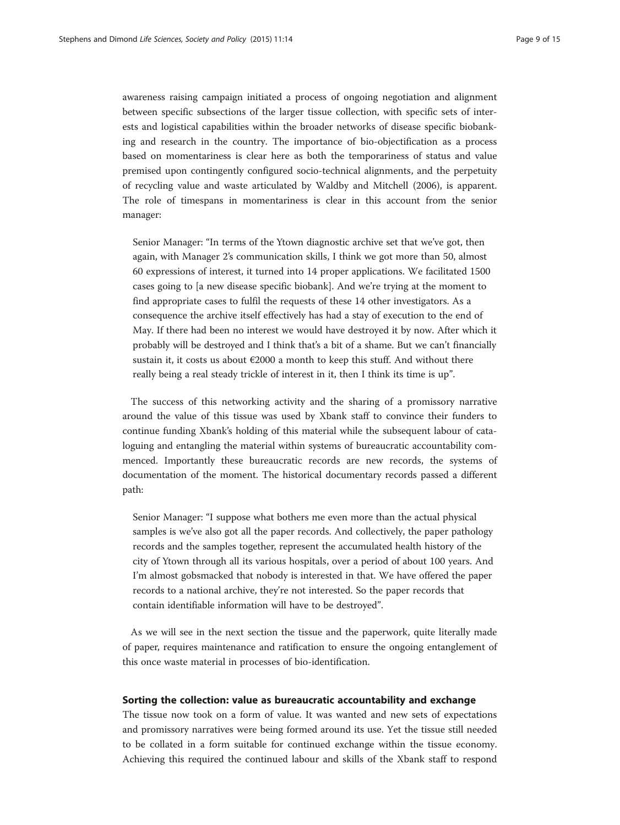awareness raising campaign initiated a process of ongoing negotiation and alignment between specific subsections of the larger tissue collection, with specific sets of interests and logistical capabilities within the broader networks of disease specific biobanking and research in the country. The importance of bio-objectification as a process based on momentariness is clear here as both the temporariness of status and value premised upon contingently configured socio-technical alignments, and the perpetuity of recycling value and waste articulated by Waldby and Mitchell ([2006\)](#page-14-0), is apparent. The role of timespans in momentariness is clear in this account from the senior manager:

Senior Manager: "In terms of the Ytown diagnostic archive set that we've got, then again, with Manager 2's communication skills, I think we got more than 50, almost 60 expressions of interest, it turned into 14 proper applications. We facilitated 1500 cases going to [a new disease specific biobank]. And we're trying at the moment to find appropriate cases to fulfil the requests of these 14 other investigators. As a consequence the archive itself effectively has had a stay of execution to the end of May. If there had been no interest we would have destroyed it by now. After which it probably will be destroyed and I think that's a bit of a shame. But we can't financially sustain it, it costs us about  $\epsilon$ 2000 a month to keep this stuff. And without there really being a real steady trickle of interest in it, then I think its time is up".

The success of this networking activity and the sharing of a promissory narrative around the value of this tissue was used by Xbank staff to convince their funders to continue funding Xbank's holding of this material while the subsequent labour of cataloguing and entangling the material within systems of bureaucratic accountability commenced. Importantly these bureaucratic records are new records, the systems of documentation of the moment. The historical documentary records passed a different path:

Senior Manager: "I suppose what bothers me even more than the actual physical samples is we've also got all the paper records. And collectively, the paper pathology records and the samples together, represent the accumulated health history of the city of Ytown through all its various hospitals, over a period of about 100 years. And I'm almost gobsmacked that nobody is interested in that. We have offered the paper records to a national archive, they're not interested. So the paper records that contain identifiable information will have to be destroyed".

As we will see in the next section the tissue and the paperwork, quite literally made of paper, requires maintenance and ratification to ensure the ongoing entanglement of this once waste material in processes of bio-identification.

## Sorting the collection: value as bureaucratic accountability and exchange

The tissue now took on a form of value. It was wanted and new sets of expectations and promissory narratives were being formed around its use. Yet the tissue still needed to be collated in a form suitable for continued exchange within the tissue economy. Achieving this required the continued labour and skills of the Xbank staff to respond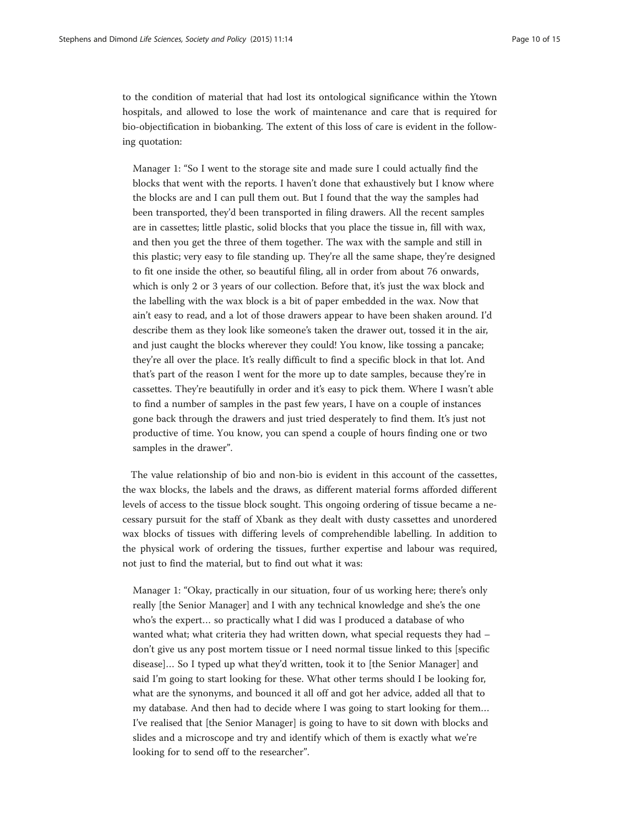to the condition of material that had lost its ontological significance within the Ytown hospitals, and allowed to lose the work of maintenance and care that is required for bio-objectification in biobanking. The extent of this loss of care is evident in the following quotation:

Manager 1: "So I went to the storage site and made sure I could actually find the blocks that went with the reports. I haven't done that exhaustively but I know where the blocks are and I can pull them out. But I found that the way the samples had been transported, they'd been transported in filing drawers. All the recent samples are in cassettes; little plastic, solid blocks that you place the tissue in, fill with wax, and then you get the three of them together. The wax with the sample and still in this plastic; very easy to file standing up. They're all the same shape, they're designed to fit one inside the other, so beautiful filing, all in order from about 76 onwards, which is only 2 or 3 years of our collection. Before that, it's just the wax block and the labelling with the wax block is a bit of paper embedded in the wax. Now that ain't easy to read, and a lot of those drawers appear to have been shaken around. I'd describe them as they look like someone's taken the drawer out, tossed it in the air, and just caught the blocks wherever they could! You know, like tossing a pancake; they're all over the place. It's really difficult to find a specific block in that lot. And that's part of the reason I went for the more up to date samples, because they're in cassettes. They're beautifully in order and it's easy to pick them. Where I wasn't able to find a number of samples in the past few years, I have on a couple of instances gone back through the drawers and just tried desperately to find them. It's just not productive of time. You know, you can spend a couple of hours finding one or two samples in the drawer".

The value relationship of bio and non-bio is evident in this account of the cassettes, the wax blocks, the labels and the draws, as different material forms afforded different levels of access to the tissue block sought. This ongoing ordering of tissue became a necessary pursuit for the staff of Xbank as they dealt with dusty cassettes and unordered wax blocks of tissues with differing levels of comprehendible labelling. In addition to the physical work of ordering the tissues, further expertise and labour was required, not just to find the material, but to find out what it was:

Manager 1: "Okay, practically in our situation, four of us working here; there's only really [the Senior Manager] and I with any technical knowledge and she's the one who's the expert… so practically what I did was I produced a database of who wanted what; what criteria they had written down, what special requests they had – don't give us any post mortem tissue or I need normal tissue linked to this [specific disease]… So I typed up what they'd written, took it to [the Senior Manager] and said I'm going to start looking for these. What other terms should I be looking for, what are the synonyms, and bounced it all off and got her advice, added all that to my database. And then had to decide where I was going to start looking for them… I've realised that [the Senior Manager] is going to have to sit down with blocks and slides and a microscope and try and identify which of them is exactly what we're looking for to send off to the researcher".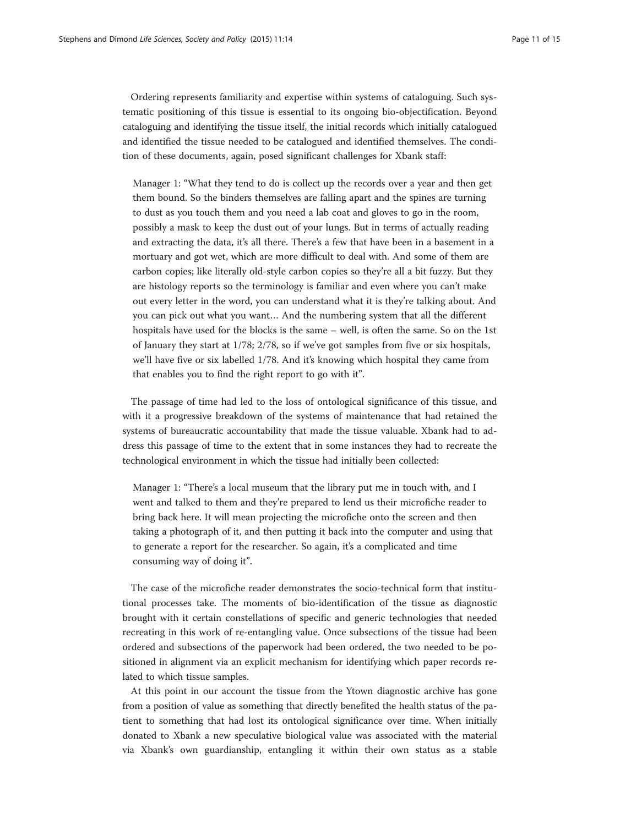Ordering represents familiarity and expertise within systems of cataloguing. Such systematic positioning of this tissue is essential to its ongoing bio-objectification. Beyond cataloguing and identifying the tissue itself, the initial records which initially catalogued and identified the tissue needed to be catalogued and identified themselves. The condition of these documents, again, posed significant challenges for Xbank staff:

Manager 1: "What they tend to do is collect up the records over a year and then get them bound. So the binders themselves are falling apart and the spines are turning to dust as you touch them and you need a lab coat and gloves to go in the room, possibly a mask to keep the dust out of your lungs. But in terms of actually reading and extracting the data, it's all there. There's a few that have been in a basement in a mortuary and got wet, which are more difficult to deal with. And some of them are carbon copies; like literally old-style carbon copies so they're all a bit fuzzy. But they are histology reports so the terminology is familiar and even where you can't make out every letter in the word, you can understand what it is they're talking about. And you can pick out what you want… And the numbering system that all the different hospitals have used for the blocks is the same – well, is often the same. So on the 1st of January they start at 1/78; 2/78, so if we've got samples from five or six hospitals, we'll have five or six labelled 1/78. And it's knowing which hospital they came from that enables you to find the right report to go with it".

The passage of time had led to the loss of ontological significance of this tissue, and with it a progressive breakdown of the systems of maintenance that had retained the systems of bureaucratic accountability that made the tissue valuable. Xbank had to address this passage of time to the extent that in some instances they had to recreate the technological environment in which the tissue had initially been collected:

Manager 1: "There's a local museum that the library put me in touch with, and I went and talked to them and they're prepared to lend us their microfiche reader to bring back here. It will mean projecting the microfiche onto the screen and then taking a photograph of it, and then putting it back into the computer and using that to generate a report for the researcher. So again, it's a complicated and time consuming way of doing it".

The case of the microfiche reader demonstrates the socio-technical form that institutional processes take. The moments of bio-identification of the tissue as diagnostic brought with it certain constellations of specific and generic technologies that needed recreating in this work of re-entangling value. Once subsections of the tissue had been ordered and subsections of the paperwork had been ordered, the two needed to be positioned in alignment via an explicit mechanism for identifying which paper records related to which tissue samples.

At this point in our account the tissue from the Ytown diagnostic archive has gone from a position of value as something that directly benefited the health status of the patient to something that had lost its ontological significance over time. When initially donated to Xbank a new speculative biological value was associated with the material via Xbank's own guardianship, entangling it within their own status as a stable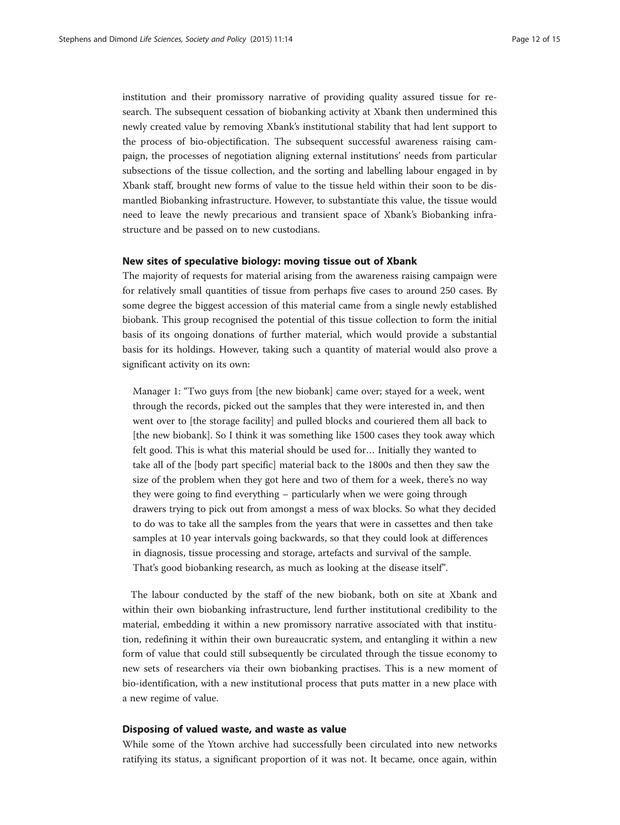institution and their promissory narrative of providing quality assured tissue for research. The subsequent cessation of biobanking activity at Xbank then undermined this newly created value by removing Xbank's institutional stability that had lent support to the process of bio-objectification. The subsequent successful awareness raising campaign, the processes of negotiation aligning external institutions' needs from particular subsections of the tissue collection, and the sorting and labelling labour engaged in by Xbank staff, brought new forms of value to the tissue held within their soon to be dismantled Biobanking infrastructure. However, to substantiate this value, the tissue would need to leave the newly precarious and transient space of Xbank's Biobanking infrastructure and be passed on to new custodians.

# New sites of speculative biology: moving tissue out of Xbank

The majority of requests for material arising from the awareness raising campaign were for relatively small quantities of tissue from perhaps five cases to around 250 cases. By some degree the biggest accession of this material came from a single newly established biobank. This group recognised the potential of this tissue collection to form the initial basis of its ongoing donations of further material, which would provide a substantial basis for its holdings. However, taking such a quantity of material would also prove a significant activity on its own:

Manager 1: "Two guys from [the new biobank] came over; stayed for a week, went through the records, picked out the samples that they were interested in, and then went over to [the storage facility] and pulled blocks and couriered them all back to [the new biobank]. So I think it was something like 1500 cases they took away which felt good. This is what this material should be used for… Initially they wanted to take all of the [body part specific] material back to the 1800s and then they saw the size of the problem when they got here and two of them for a week, there's no way they were going to find everything – particularly when we were going through drawers trying to pick out from amongst a mess of wax blocks. So what they decided to do was to take all the samples from the years that were in cassettes and then take samples at 10 year intervals going backwards, so that they could look at differences in diagnosis, tissue processing and storage, artefacts and survival of the sample. That's good biobanking research, as much as looking at the disease itself".

The labour conducted by the staff of the new biobank, both on site at Xbank and within their own biobanking infrastructure, lend further institutional credibility to the material, embedding it within a new promissory narrative associated with that institution, redefining it within their own bureaucratic system, and entangling it within a new form of value that could still subsequently be circulated through the tissue economy to new sets of researchers via their own biobanking practises. This is a new moment of bio-identification, with a new institutional process that puts matter in a new place with a new regime of value.

# Disposing of valued waste, and waste as value

While some of the Ytown archive had successfully been circulated into new networks ratifying its status, a significant proportion of it was not. It became, once again, within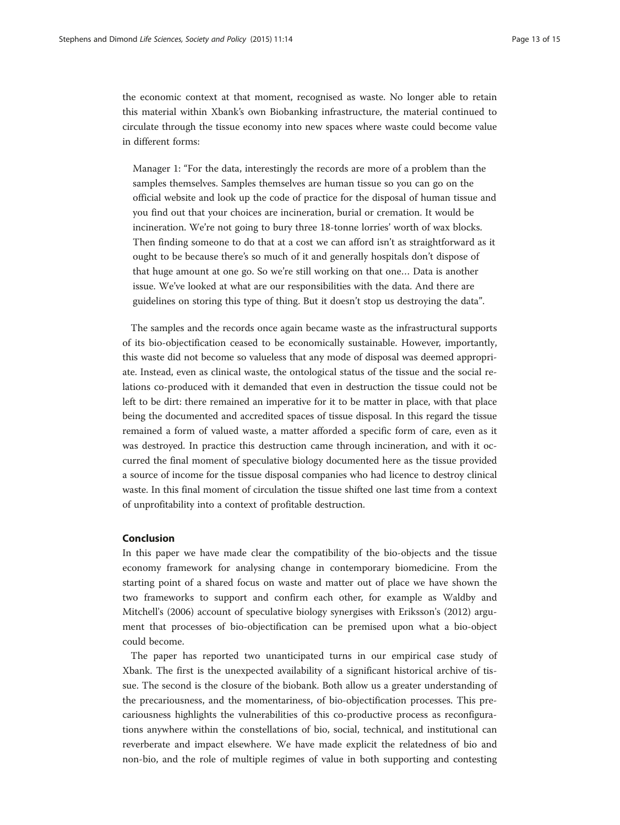the economic context at that moment, recognised as waste. No longer able to retain this material within Xbank's own Biobanking infrastructure, the material continued to circulate through the tissue economy into new spaces where waste could become value in different forms:

Manager 1: "For the data, interestingly the records are more of a problem than the samples themselves. Samples themselves are human tissue so you can go on the official website and look up the code of practice for the disposal of human tissue and you find out that your choices are incineration, burial or cremation. It would be incineration. We're not going to bury three 18-tonne lorries' worth of wax blocks. Then finding someone to do that at a cost we can afford isn't as straightforward as it ought to be because there's so much of it and generally hospitals don't dispose of that huge amount at one go. So we're still working on that one… Data is another issue. We've looked at what are our responsibilities with the data. And there are guidelines on storing this type of thing. But it doesn't stop us destroying the data".

The samples and the records once again became waste as the infrastructural supports of its bio-objectification ceased to be economically sustainable. However, importantly, this waste did not become so valueless that any mode of disposal was deemed appropriate. Instead, even as clinical waste, the ontological status of the tissue and the social relations co-produced with it demanded that even in destruction the tissue could not be left to be dirt: there remained an imperative for it to be matter in place, with that place being the documented and accredited spaces of tissue disposal. In this regard the tissue remained a form of valued waste, a matter afforded a specific form of care, even as it was destroyed. In practice this destruction came through incineration, and with it occurred the final moment of speculative biology documented here as the tissue provided a source of income for the tissue disposal companies who had licence to destroy clinical waste. In this final moment of circulation the tissue shifted one last time from a context of unprofitability into a context of profitable destruction.

# Conclusion

In this paper we have made clear the compatibility of the bio-objects and the tissue economy framework for analysing change in contemporary biomedicine. From the starting point of a shared focus on waste and matter out of place we have shown the two frameworks to support and confirm each other, for example as Waldby and Mitchell's ([2006](#page-14-0)) account of speculative biology synergises with Eriksson's ([2012](#page-14-0)) argument that processes of bio-objectification can be premised upon what a bio-object could become.

The paper has reported two unanticipated turns in our empirical case study of Xbank. The first is the unexpected availability of a significant historical archive of tissue. The second is the closure of the biobank. Both allow us a greater understanding of the precariousness, and the momentariness, of bio-objectification processes. This precariousness highlights the vulnerabilities of this co-productive process as reconfigurations anywhere within the constellations of bio, social, technical, and institutional can reverberate and impact elsewhere. We have made explicit the relatedness of bio and non-bio, and the role of multiple regimes of value in both supporting and contesting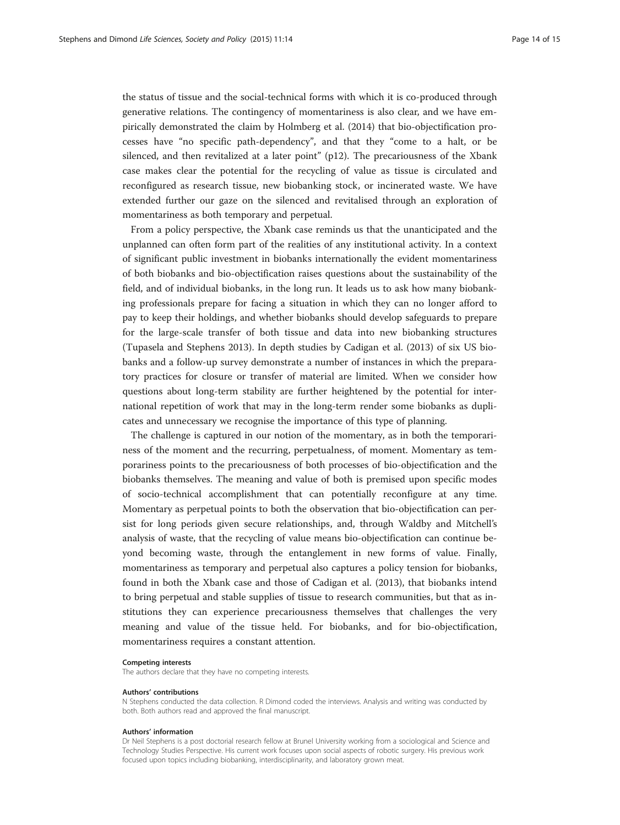the status of tissue and the social-technical forms with which it is co-produced through generative relations. The contingency of momentariness is also clear, and we have empirically demonstrated the claim by Holmberg et al. [\(2014](#page-14-0)) that bio-objectification processes have "no specific path-dependency", and that they "come to a halt, or be silenced, and then revitalized at a later point" (p12). The precariousness of the Xbank case makes clear the potential for the recycling of value as tissue is circulated and reconfigured as research tissue, new biobanking stock, or incinerated waste. We have extended further our gaze on the silenced and revitalised through an exploration of momentariness as both temporary and perpetual.

From a policy perspective, the Xbank case reminds us that the unanticipated and the unplanned can often form part of the realities of any institutional activity. In a context of significant public investment in biobanks internationally the evident momentariness of both biobanks and bio-objectification raises questions about the sustainability of the field, and of individual biobanks, in the long run. It leads us to ask how many biobanking professionals prepare for facing a situation in which they can no longer afford to pay to keep their holdings, and whether biobanks should develop safeguards to prepare for the large-scale transfer of both tissue and data into new biobanking structures (Tupasela and Stephens [2013\)](#page-14-0). In depth studies by Cadigan et al. ([2013](#page-14-0)) of six US biobanks and a follow-up survey demonstrate a number of instances in which the preparatory practices for closure or transfer of material are limited. When we consider how questions about long-term stability are further heightened by the potential for international repetition of work that may in the long-term render some biobanks as duplicates and unnecessary we recognise the importance of this type of planning.

The challenge is captured in our notion of the momentary, as in both the temporariness of the moment and the recurring, perpetualness, of moment. Momentary as temporariness points to the precariousness of both processes of bio-objectification and the biobanks themselves. The meaning and value of both is premised upon specific modes of socio-technical accomplishment that can potentially reconfigure at any time. Momentary as perpetual points to both the observation that bio-objectification can persist for long periods given secure relationships, and, through Waldby and Mitchell's analysis of waste, that the recycling of value means bio-objectification can continue beyond becoming waste, through the entanglement in new forms of value. Finally, momentariness as temporary and perpetual also captures a policy tension for biobanks, found in both the Xbank case and those of Cadigan et al. ([2013](#page-14-0)), that biobanks intend to bring perpetual and stable supplies of tissue to research communities, but that as institutions they can experience precariousness themselves that challenges the very meaning and value of the tissue held. For biobanks, and for bio-objectification, momentariness requires a constant attention.

#### Competing interests

The authors declare that they have no competing interests.

#### Authors' contributions

N Stephens conducted the data collection. R Dimond coded the interviews. Analysis and writing was conducted by both. Both authors read and approved the final manuscript.

#### Authors' information

Dr Neil Stephens is a post doctorial research fellow at Brunel University working from a sociological and Science and Technology Studies Perspective. His current work focuses upon social aspects of robotic surgery. His previous work focused upon topics including biobanking, interdisciplinarity, and laboratory grown meat.